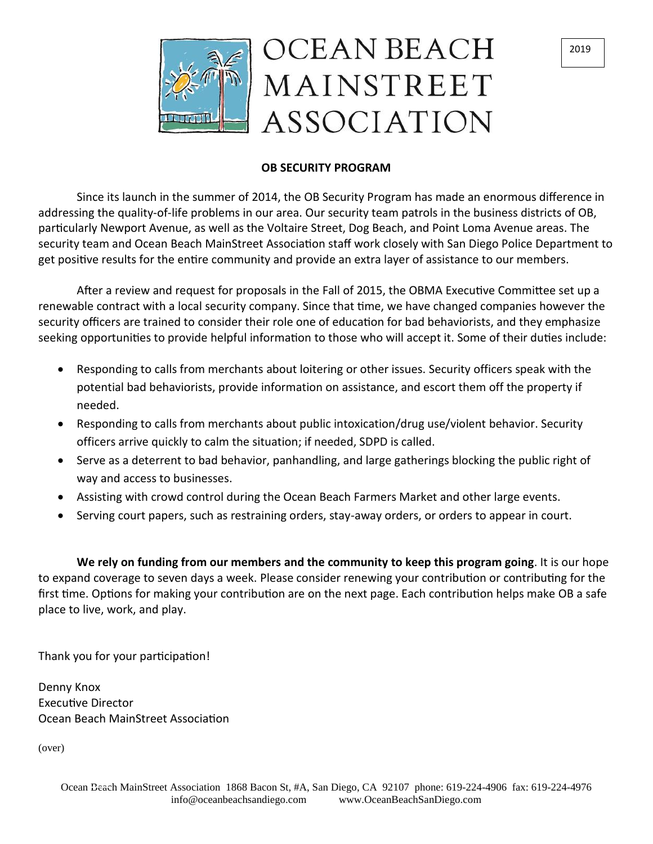

#### 2019

## **OB SECURITY PROGRAM**

Since its launch in the summer of 2014, the OB Security Program has made an enormous difference in addressing the quality-of-life problems in our area. Our security team patrols in the business districts of OB, particularly Newport Avenue, as well as the Voltaire Street, Dog Beach, and Point Loma Avenue areas. The security team and Ocean Beach MainStreet Association staff work closely with San Diego Police Department to get positive results for the entire community and provide an extra layer of assistance to our members.

After a review and request for proposals in the Fall of 2015, the OBMA Executive Committee set up a renewable contract with a local security company. Since that time, we have changed companies however the security officers are trained to consider their role one of education for bad behaviorists, and they emphasize seeking opportunities to provide helpful information to those who will accept it. Some of their duties include:

- Responding to calls from merchants about loitering or other issues. Security officers speak with the potential bad behaviorists, provide information on assistance, and escort them off the property if needed.
- Responding to calls from merchants about public intoxication/drug use/violent behavior. Security officers arrive quickly to calm the situation; if needed, SDPD is called.
- Serve as a deterrent to bad behavior, panhandling, and large gatherings blocking the public right of way and access to businesses.
- Assisting with crowd control during the Ocean Beach Farmers Market and other large events.
- Serving court papers, such as restraining orders, stay-away orders, or orders to appear in court.

**We rely on funding from our members and the community to keep this program going**. It is our hope to expand coverage to seven days a week. Please consider renewing your contribution or contributing for the first time. Options for making your contribution are on the next page. Each contribution helps make OB a safe place to live, work, and play.

Thank you for your participation!

Denny Knox Executive Director Ocean Beach MainStreet Association

(over)